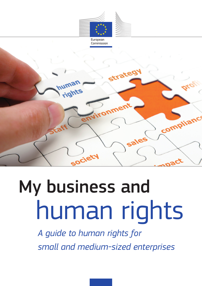



# My business and human rights

*A guide to human rights for small and medium-sized enterprises*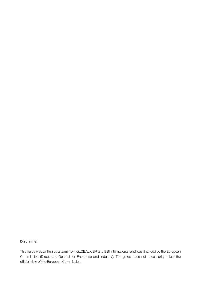#### **Disclaimer**

This guide was written by a team from GLOBAL CSR and BBI International, and was financed by the European Commission (Directorate-General for Enterprise and Industry). The guide does not necessarily reflect the official view of the European Commission.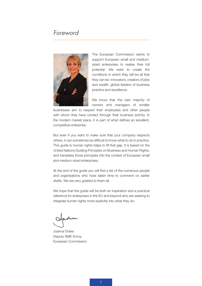# *Foreword*



The European Commission wants to support European small and mediumsized enterprises to realise their full potential. We want to create the conditions in which they will be all that they can be: innovators, creators of jobs and wealth, global leaders of business practice and excellence.

We know that the vast majority of owners and managers of smaller

businesses aim to respect their employees and other people with whom they have contact through their business activity. In the modern market place, it is part of what defines an excellent, competitive enterprise.

But even if you want to make sure that your company respects others, it can sometimes be difficult to know what to do in practice. This guide to human rights helps to fill that gap. It is based on the United Nations Guiding Principles on Business and Human Rights, and translates those principles into the context of European small and medium-sized enterprises.

At the end of the guide you will find a list of the numerous people and organisations who have taken time to comment on earlier drafts. We are very grateful to them all.

We hope that this guide will be both an inspiration and a practical reference for enterprises in the EU and beyond who are seeking to integrate human rights more explicitly into what they do.

Joanna Drake Deputy SME Envoy European Commission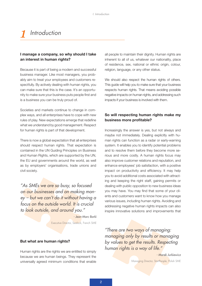# *1 Introduction*

# **I manage a company, so why should I take an interest in human rights?**

Because it is part of being a modern and successful business manager. Like most managers, you probably aim to treat your employees and customers respectfully. By actively dealing with human rights, you can make sure that this is the case. It's an opportunity to make sure your business puts people first and is a business you can be truly proud of.

Societies and markets continue to change in complex ways, and all enterprises have to cope with new rules of play. New expectations emerge that redefine what we understand by good management. Respect for human rights is part of that development.

There is now a global expectation that all enterprises should respect human rights. That expectation is contained in the UN Guiding Principles on Business and Human Rights, which are supported by the UN, the EU and governments around the world, as well as by employers' organisations, trade unions and civil society.

*"As SMEs we are so busy, so focused on our businesses and on making money – but we can't do it without having a focus on the outside world. It is crucial to look outside, and around you."*

*- Jean-Marc Barki*

Executive Director, Sealock, French SME

#### **But what are human rights?**

Human rights are the rights we are entitled to simply because we are human beings. They represent the universally agreed minimum conditions that enable

all people to maintain their dignity. Human rights are inherent to all of us, whatever our nationality, place of residence, sex, national or ethnic origin, colour, religion, language, or any other status.

We should also respect the human rights of others. This guide will help you to make sure that your business respects human rights. That means avoiding possible negative impacts on human rights, and addressing such impacts if your business is involved with them.

# **So will respecting human rights make my business more profitable?**

Increasingly the answer is yes, but not always and maybe not immediately. Dealing explicitly with human rights can function as a radar or early-warning system. It enables you to identify potential problems and to resolve them before they become more serious and more costly. A human rights focus may also improve customer relations and reputation, and enhance employees' job satisfaction, with a positive impact on productivity and efficiency. It may help you to avoid additional costs associated with attracting and keeping the right staff, gaining permits or dealing with public opposition to new business ideas you may have. You may find that some of your clients and customers want to know how you manage various issues, including human rights. Avoiding and addressing negative human rights impacts can also inspire innovative solutions and improvements that

*"There are two ways of managing: managing only by results or managing by values to get the results. Respecting human rights is a way of life."*

> *- Marek Jurkiewicz* Managing Director, StartPeople, Polish SME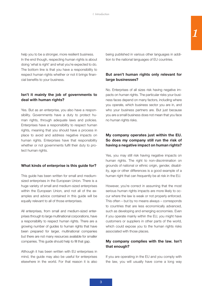help you to be a stronger, more resilient business. In the end though, respecting human rights is about doing 'what is right' and what you're expected to do. The bottom line is that you have a responsibility to respect human rights whether or not it brings financial benefits to your business.

# **Isn't it mainly the job of governments to deal with human rights?**

Yes. But as an enterprise, you also have a responsibility. Governments have a duty to protect human rights, through adequate laws and policies. Enterprises have a responsibility to respect human rights, meaning that you should have a process in place to avoid and address negative impacts on human rights. Enterprises have that responsibility whether or not governments fulfil their duty to protect human rights.

# **What kinds of enterprise is this guide for?**

This guide has been written for small and mediumsized enterprises in the European Union. There is a huge variety of small and medium-sized enterprises within the European Union, and not all of the examples and advice contained in this guide will be equally relevant to all of those enterprises.

All enterprises, from small and medium-sized enterprises through to large multinational corporations, have a responsibility to respect human rights. There are a growing number of guides to human rights that have been prepared for larger, multinational companies but there are not many resources available for smaller companies. This guide should help to fill that gap.

Although it has been written with EU enterprises in mind, the guide may also be useful for enterprises elsewhere in the world. For that reason it is also being published in various other languages in addition to the national languages of EU countries.

# **But aren't human rights only relevant for large businesses?**

No. Enterprises of all sizes risk having negative impacts on human rights. The particular risks your business faces depend on many factors, including where you operate, which business sector you are in, and who your business partners are. But just because you are a small business does not mean that you face no human rights risks.

# **My company operates just within the EU. So does my company still run the risk of having a negative impact on human rights?**

Yes, you may still risk having negative impacts on human rights. The right to non-discrimination on grounds of national or ethnic origin, gender, disability, age or other differences is a good example of a human right that can frequently be at risk in the EU.

However, you're correct in assuming that the most serious human rights impacts are more likely to occur where the law is weak or not properly enforced. This often – but by no means always – corresponds to countries that are less economically advanced, such as developing and emerging economies. Even if you operate mainly within the EU, you might have customers or suppliers in other parts of the world, which could expose you to the human rights risks associated with those places.

# **My company complies with the law. Isn't that enough?**

If you are operating in the EU and you comply with the law, you will usually have come a long way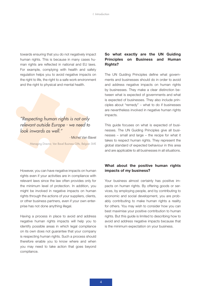towards ensuring that you do not negatively impact human rights. This is because in many cases human rights are reflected in national and EU laws. For example, complying with health and safety regulation helps you to avoid negative impacts on the right to life, the right to a safe work environment and the right to physical and mental health.

*"Respecting human rights is not only relevant outside Europe - we need to look inwards as well."*

*-* Michel Van Bavel

Managing Director, Van Bavel Business Gifts, Belgian SME

However, you can have negative impacts on human rights even if your activities are in compliance with relevant laws since the law often provides only for the minimum level of protection. In addition, you might be involved in negative impacts on human rights through the actions of your suppliers, clients, or other business partners, even if your own enterprise has not done anything illegal.

Having a process in place to avoid and address negative human rights impacts will help you to identify possible areas in which legal compliance on its own does not guarantee that your company is respecting human rights. Such a process should therefore enable you to know where and when you may need to take action that goes beyond compliance.

# **So what exactly are the UN Guiding Principles on Business and Human Rights?**

The UN Guiding Principles define what governments and businesses should do in order to avoid and address negative impacts on human rights by businesses. They make a clear distinction between what is expected of governments and what is expected of businesses. They also include principles about "remedy" – what to do if businesses are nevertheless involved in negative human rights impacts.

This guide focuses on what is expected of businesses. The UN Guiding Principles give all businesses – small and large – the recipe for what it takes to respect human rights. They represent the global standard of expected behaviour in this area and are applicable to all businesses in all situations.

# **What about the positive human rights impacts of my business?**

Your business almost certainly has positive impacts on human rights. By offering goods or services, by employing people, and by contributing to economic and social development, you are probably contributing to make human rights a reality for others. You may wish to consider how you can best maximise your positive contribution to human rights. But this guide is limited to describing how to avoid and address negative impacts because that is the minimum expectation on your business.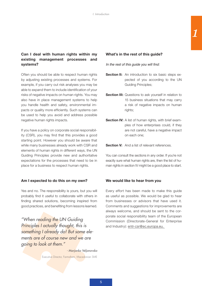# **Can I deal with human rights within my existing management processes and systems?**

Often you should be able to respect human rights by adjusting existing processes and systems. For example, if you carry out risk analyses you may be able to expand them to include identification of your risks of negative impacts on human rights. You may also have in place management systems to help you handle health and safety, environmental impacts or quality more efficiently. Such systems can be used to help you avoid and address possible negative human rights impacts.

If you have a policy on corporate social responsibility (CSR), you may find that this provides a good starting point. However you should be aware that while many businesses already work with CSR and elements of human rights in different ways, the UN Guiding Principles provide new and authoritative expectations for the processes that need to be in place for a business to respect human rights.

# **Am I expected to do this on my own?**

Yes and no. The responsibility is yours, but you will probably find it useful to collaborate with others in finding shared solutions, becoming inspired from good practices, and benefiting from lessons learned.

*"When reading the UN Guiding Principles I actually thought, this is something I already do! But some elements are of course new and we are going to look at them."*

*- Marjonka Veljanovska*

Executive Director, Farmahem, Macedonian SME

# **What's in the rest of this guide?**

#### *In the rest of this guide you will find:*

- **Section II:** An introduction to six basic steps expected of you according to the UN Guiding Principles;
- **Section III:** Questions to ask yourself in relation to 15 business situations that may carry a risk of negative impacts on human rights;
- **Section IV:** A list of human rights, with brief examples of how enterprises could, if they are not careful, have a negative impact on each one;

# **Section V:** And a list of relevant references.

You can consult the sections in any order. If you're not exactly sure what human rights are, then the list of human rights in section IV might be a good place to start.

# **We would like to hear from you**

Every effort has been made to make this guide as useful as possible. We would be glad to hear from businesses or advisors that have used it. Comments and suggestions for improvements are always welcome, and should be sent to the corporate social responsibility team of the European Commission (Directorate-General for Enterprise and Industry): entr-csr@ec.europa.eu.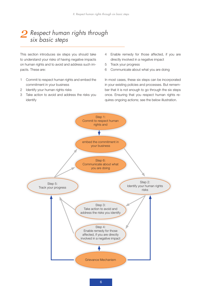# *Respect human rights through six basic steps 2*

This section introduces six steps you should take to understand your risks of having negative impacts on human rights and to avoid and address such impacts. These are:

- 1 Commit to respect human rights and embed the commitment in your business
- 2 Identify your human rights risks
- 3 Take action to avoid and address the risks you identify
- 4 Enable remedy for those affected, if you are directly involved in a negative impact
- 5 Track your progress
- 6 Communicate about what you are doing

In most cases, these six steps can be incorporated in your existing policies and processes. But remember that it is not enough to go through the six steps once. Ensuring that you respect human rights requires ongoing actions; see the below illustration.

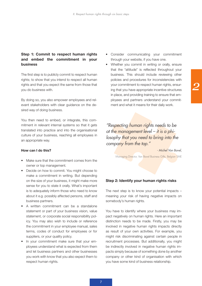# **Step 1: Commit to respect human rights and embed the commitment in your business**

The first step is to publicly commit to respect human rights; to show that you intend to respect all human rights and that you expect the same from those that you do business with.

By doing so, you also empower employees and relevant stakeholders with clear guidance on the desired way of doing business.

You then need to embed, or integrate, this commitment in relevant internal systems so that it gets translated into practice and into the organisational culture of your business, reaching all employees in an appropriate way.

#### **How can I do this?**

- Make sure that the commitment comes from the owner or top management.
- Decide on how to commit. You might choose to make a commitment in writing. But depending on the size of your business, it might make more sense for you to state it orally. What's important is to adequately inform those who need to know about it e.g. possibly affected persons, staff and business partners.
- A written commitment can be a standalone statement or part of your business vision, value statement, or corporate social responsibility policy. You may also wish to include or reference the commitment in your employee manual, sales terms, codes of conduct for employees or for suppliers, or your quality policy.
- In your commitment make sure that your employees understand what is expected from them and let business partners and other businesses you work with know that you also expect them to respect human rights.
- • Consider communicating your commitment through your website, if you have one.
- Whether you commit in writing or orally, ensure that the "attitude" is reflected throughout your business. This should include reviewing other policies and procedures for inconsistencies with your commitment to respect human rights, ensuring that you have appropriate incentive structures in place, and providing training to ensure that employees and partners understand your commitment and what it means for their daily work.

*"Respecting human rights needs to be at the management level – it is a philosophy that you need to bring into the company from the top."*

*- Michel Van Bavel,*

Managing Director, Van Bavel Business Gifts, Belgian SME

#### **Step 2: Identify your human rights risks**

The next step is to know your potential impacts – meaning your risk of having negative impacts on somebody's human rights.

You have to identify where your business may impact negatively on human rights. Here an important distinction needs to be made. Firstly, you may be involved in negative human rights impacts directly as result of your own activities. For example, you might risk discriminating against certain people in recruitment processes. But additionally, you might be indirectly involved in negative human rights impacts simply because of something done by another company or other kind of organisation with which you have some kind of business relationship.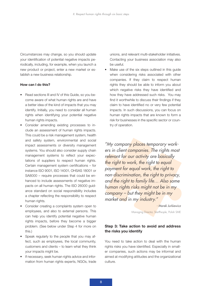Circumstances may change, so you should update your identification of potential negative impacts periodically, including, for example, when you launch a new product or project, enter a new market or establish a new business relationship.

#### **How can I do this?**

- Read sections III and IV of this Guide, so you become aware of what human rights are and have a better idea of the kind of impacts that you may identify. Initially, you need to consider all human rights when identifying your potential negative human rights impacts.
- Consider amending existing processes to include an assessment of human rights impacts. This could be a risk management system, health and safety system, environmental and social impact assessments or diversity management systems. You should also consider supply chain management systems to reflect your expectations of suppliers to respect human rights. Certain management system certifications – for instance ISO 9001, ISO 14001, OHSAS 18001 or SA8000 – require processes that could be enhanced to include assessments of negative impacts on all human rights. The ISO 26000 guidance standard on social responsibility includes a chapter reflecting the responsibility to respect human rights.
- • Consider creating a complaints system open to employees, and also to external persons. This can help you identify potential negative human rights impacts, before they become a bigger problem. (See below under Step 4 for more on this.)
- Speak regularly to the people that you may affect, such as employees, the local community, customers and clients – to learn what they think your impacts might be.
- If necessary, seek human rights advice and information from human rights experts, NGOs, trade

unions, and relevant multi-stakeholder initiatives. Contacting your business association may also be useful.

Make use of the six steps outlined in this quide when considering risks associated with other companies. If they claim to respect human rights they should be able to inform you about which negative risks they have identified and how they have addressed such risks. You may find it worthwhile to discuss their findings if they claim to have identified no or very few potential impacts. In such discussions, you can focus on human rights impacts that are known to form a risk for businesses in the specific sector or country of operation.

*"My company places temporary workers in client companies. The rights most relevant for our activity are basically the right to work, the right to equal payment for equal work, the right to non-discrimination, the right to privacy, and the right to family life… Also some human rights risks might not be in my company – but they might be in my market and in my industry."*

> *- Marek Jurkiewicz* Managing Director, StartPeople, Polish SME

# **Step 3: Take action to avoid and address the risks you identify**

You need to take action to deal with the human rights risks you have identified. Especially in smaller companies, such actions may be informal and aimed at modifying attitudes and the organizational culture.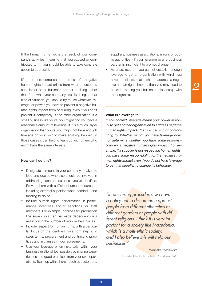If the human rights risk is the result of your company's activities (meaning that you caused or contributed to it), you should be able to take concrete action to address it.

It's a bit more complicated if the risk of a negative human rights impact arises from what a customer, supplier or other business partner is doing rather than from what your company itself is doing. In that kind of situation, you should try to use whatever leverage, or power, you have to prevent a negative human rights impact from occurring, even if you can't prevent it completely. If the other organisation is a small business like yours, you might find you have a reasonable amount of leverage. If it is a much larger organisation than yours, you might not have enough leverage on your own to make anything happen. In those cases it can help to team up with others who might have the same interests.

#### **How can I do this?**

- Designate someone in your company to take the lead and decide who else should be involved in addressing each particular risk you've identified. Provide them with sufficient human resources – including external expertise when needed – and funding to do so.
- Include human rights performance in performance incentives and/or sanctions for staff members. For example, bonuses for production line supervisors can be made dependant on a reduction in the number of work related injuries.
- Include respect for human rights, with a particular focus on the identified risks from step 2, in sales terms, procurement and contracting practices and in clauses in your agreements.
- Use your leverage when risks exist within your business relationships, possibly by sharing experiences and good practices from your own operations. Team up with others – such as customers,

suppliers, business associations, unions or public authorities - if your leverage over a business partner is insufficient to prompt change.

As a last resort, if you cannot establish enough leverage to get an organisation with which you have a business relationship to address a negative human rights impact, then you may need to consider ending you business relationship with that organisation.

#### **What is "leverage"?**

*In this context, leverage means your power or ability to get another organisation to address negative human rights impacts that it is causing or contributing to. Whether or not you have leverage does not determine whether you have some responsibility for a negative human rights impact. For example, if a supplier is not respecting human rights, you have some responsibility for the negative human rights impact even if you do not have leverage to get that supplier to change its behaviour.* 

*"In our hiring procedures we have a policy not to discriminate against people from different ethnicities or different genders or people with different religions. I think it is very important for a society like Macedonia, which is a multi-ethnic society, and I also believe this will help our businesses."*

#### *- Marjonka Veljanovska*

Executive Director, Farmahem, Macedonian SME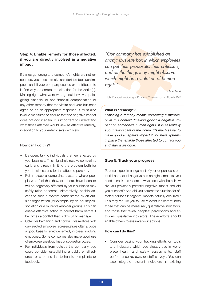# **Step 4: Enable remedy for those affected, if you are directly involved in a negative impact**

If things go wrong and someone's rights are not respected, you need to make an effort to stop such impacts and, if your company caused or contributed to it, find ways to correct the situation for the victim(s). Making right what went wrong could involve apologising, financial or non-financial compensation or any other remedy that the victim and your business agree on as an appropriate response. It must also involve measures to ensure that the negative impact does not occur again. It is important to understand what those affected would view as effective remedy, in addition to your enterprise's own view.

#### **How can I do this?**

- Be open: talk to individuals that feel affected by your business. This might help resolve complaints early and directly, limiting the problem both for your business and for the affected persons.
- Put in place a complaints system, where people who feel that they, or others, have been or will be negatively affected by your business may safely raise concerns. Alternatively, enable access to such a system administered by an outside organization (for example, by an industry association or a multi-stakeholder group). This can enable effective action to correct harm before it becomes a conflict that is difficult to manage.
- Collective bargaining and constructive relations with duly elected employee representatives often provide a good basis for effective remedy in cases involving employees. Some companies also make good use of employee speak-up lines or suggestion boxes.
- • For individuals from outside the company, you could consider establishing a public email address or a phone line to handle complaints or feedback.

*"Our company has established an anonymous letterbox in which employees can put their proposals, their criticisms, and all the things they might observe which might be a violation of human rights."*

*- Tina Lund*

UN Partnership Manager, Danimex Communication, Danish SME

#### **What is "remedy"?**

*Providing a remedy means correcting a mistake, or in this context "making good" a negative impact on someone's human rights. It is essentially about taking care of the victim. It's much easier to make good a negative impact if you have systems in place that enable those affected to contact you and start a dialogue.* 

#### **Step 5: Track your progress**

To ensure good management of your responses to potential and actual negative human rights impacts, you need to track and record how you deal with them. How did you prevent a potential negative impact and did you succeed? And did you correct the situation for affected persons if negative impacts actually occurred? This may require you to use relevant indicators: both those that can be measured, quantitative indicators, and those that reveal peoples' perceptions and attitudes, qualitative indicators. These efforts should enable others to evaluate your actions.

#### **How can I do this?**

• Consider basing your tracking efforts on tools and indicators which you already use in workplace health and safety assessments, staff performance reviews, or staff surveys. You can also integrate relevant indicators in existing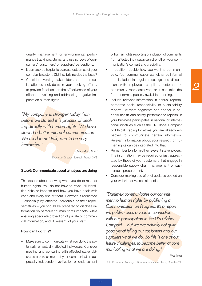quality management or environmental performance tracking systems, and use surveys of consumers', customers' or suppliers' perceptions.

- It can also be helpful to evaluate outcomes of your complaints system. Did they fully resolve the issue?
- Consider involving stakeholders and in particular affected individuals in your tracking efforts, to provide feedback on the effectiveness of your efforts in avoiding and addressing negative impacts on human rights.

*"My company is stronger today than before we started this process of dealing directly with human rights. We have started a better internal communication. We used to not talk, and to be very hierarchal."*

*- Jean-Marc Barki*

Executive Director, Sealock, French SME

#### **Step 6: Communicate about what you are doing**

This step is about showing what you do to respect human rights. You do not have to reveal all identified risks or impacts and how you have dealt with each and every one of them. However, if requested – especially by affected individuals or their representatives – you should be prepared to disclose information on particular human rights impacts, while ensuring adequate protection of private or commercial information, and, if relevant, of your staff.

#### **How can I do this?**

• Make sure to communicate what you do to the potentially or actually affected individuals. Consider meeting and consulting with affected stakeholders as a core element of your communication approach. Independent verification or endorsement of human rights reporting or inclusion of comments from affected individuals can strengthen your communication's content and credibility.

- In addition, decide how you want to communicate. Your communication can either be informal and included in regular meetings and discussions with employees, suppliers, customers or community representatives, or it can take the form of formal, publicly available reporting.
- Include relevant information in annual reports, corporate social responsibility or sustainability reports. Relevant segments can appear in periodic health and safety performance reports. If your business participates in national or international initiatives such as the UN Global Compact or Ethical Trading Initiatives you are already expected to communicate certain information. Relevant information about your respect for human rights can be integrated into that.
- Remember to inform other relevant stakeholders. The information may be required or just appreciated by those of your customers that engage in responsible supply chain management or sustainable procurement.
- Consider making use of brief updates posted on your website or via social media.

*"Danimex communicates our commitment to human rights by publishing a Communication on Progress. It's a report we publish once a year, in connection with our participation in the UN Global Compact… But we are actually not quite good yet at telling our customers and our suppliers what we do. So this is one of our future challenges, to become better at communicating what we are doing."*

*- Tina Lund*

UN Partnership Manager, Danimex Communications, Danish SME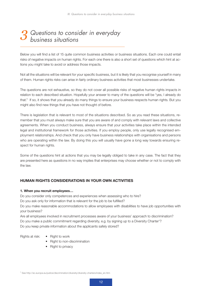# *Questions to consider in everyday business situations 3*

Below you will find a list of 15 quite common business activities or business situations. Each one could entail risks of negative impacts on human rights. For each one there is also a short set of questions which hint at actions you might take to avoid or address those impacts.

Not all the situations will be relevant for your specific business, but it is likely that you recognise yourself in many of them. Human rights risks can arise in fairly ordinary business activities that most businesses undertake.

The questions are not exhaustive, so they do not cover all possible risks of negative human rights impacts in relation to each described situation. Hopefully your answer to many of the questions will be "yes, I already do that." If so, it shows that you already do many things to ensure your business respects human rights. But you might also find new things that you have not thought of before.

There is legislation that is relevant to most of the situations described. So as you read these situations, remember that you must always make sure that you are aware of and comply with relevant laws and collective agreements. When you conduct business, always ensure that your activities take place within the intended legal and institutional framework for those activities. If you employ people, only use legally recognised employment relationships. And check that you only have business relationships with organisations and persons who are operating within the law. By doing this you will usually have gone a long way towards ensuring respect for human rights.

Some of the questions hint at actions that you may be legally obliged to take in any case. The fact that they are presented here as questions in no way implies that enterprises may choose whether or not to comply with the law.

# **Human rights considerations in your own activities**

#### **1. When you recruit employees…**

Do you consider only competences and experiences when assessing who to hire? Do you ask only for information that is relevant for the job to be fulfilled?

Do you make reasonable accommodations to allow employees with disabilities to have job opportunities with your business?

Are all employees involved in recruitment processes aware of your business' approach to discrimination? Do you make a public commitment regarding diversity, e.g. by signing up to a Diversity Charter<sup>1</sup>? Do you keep private information about the applicants safely stored?

- Rights at risk: . Right to work
	- Right to non-discrimination
	- Right to privacy

<sup>1</sup> See http://ec.europa.eu/justice/discrimination/diversity/diversity-charters/index\_en.htm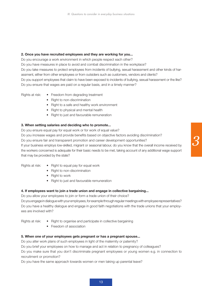#### **2. Once you have recruited employees and they are working for you...**

Do you encourage a work environment in which people respect each other? Do you have measures in place to avoid and combat discrimination in the workplace? Do you take measures to protect employees from incidents of bullying, sexual harassment and other kinds of harassment, either from other employees or from outsiders such as customers, vendors and clients? Do you support employees that claim to have been exposed to incidents of bullying, sexual harassment or the like? Do you ensure that wages are paid on a regular basis, and in a timely manner?

- Rights at risk: Freedom from degrading treatment
	- Right to non-discrimination
	- Right to a safe and healthy work environment
	- Right to physical and mental health
	- Right to just and favourable remuneration

# **3. When setting salaries and deciding who to promote...**

Do you ensure equal pay for equal work or for work of equal value?

Do you increase wages and provide benefits based on objective factors avoiding discrimination?

Do you ensure fair and transparent promotion and career development opportunities?

If your business employs low-skilled, migrant or seasonal labour, do you know that the overall income received by the workers concerned is adequate for their basic needs to be met, taking account of any additional wage support that may be provided by the state?

- Rights at risk:  $\bullet$  Right to equal pay for equal work
	- Right to non-discrimination
	- Right to work
	- Right to just and favourable remuneration

# **4. If employees want to join a trade union and engage in collective bargaining...**

Do you allow your employees to join or form a trade union of their choice?

Do you engage in dialogue with your employees, for example through regular meetings with employee representatives? Do you have a healthy dialogue and engage in good faith negotiations with the trade unions that your employees are involved with?

- Rights at risk:  $\bullet$  Right to organise and participate in collective bargaining
	- Freedom of association

# **5. When one of your employees gets pregnant or has a pregnant spouse...**

Do you alter work plans of such employees in light of the maternity or paternity?

Do you brief your employees on how to manage and act in relation to pregnancy of colleagues?

Do you make sure that you don't discriminate pregnant employees or young women e.g. in connection to recruitment or promotion?

Do you have the same approach towards women or men taking up parental leave?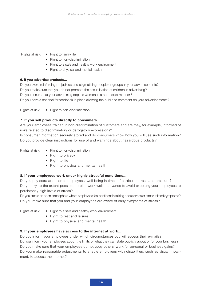#### Rights at risk: . • Right to family life

- Right to non-discrimination
- Right to a safe and healthy work environment
- Right to physical and mental health

# **6. If you advertise products...**

Do you avoid reinforcing prejudices and stigmatising people or groups in your advertisements? Do you make sure that you do not promote the sexualisation of children in advertising? Do you ensure that your advertising depicts women in a non-sexist manner? Do you have a channel for feedback in place allowing the public to comment on your advertisements?

Rights at risk: • Right to non-discrimination

# **7. If you sell products directly to consumers...**

Are your employees trained in non-discrimination of customers and are they, for example, informed of risks related to discriminatory or derogatory expressions?

Is consumer information securely stored and do consumers know how you will use such information? Do you provide clear instructions for use of and warnings about hazardous products?

- Rights at risk: . Right to non-discrimination
	- Right to privacy
	- Right to life
	- Right to physical and mental health

# **8. If your employees work under highly stressful conditions...**

Do you pay extra attention to employees' well-being in times of particular stress and pressure? Do you try, to the extent possible, to plan work well in advance to avoid exposing your employees to persistently high levels of stress?

Do you create an open atmosphere where employees feel confident in talking about stress or stress related symptoms? Do you make sure that you and your employees are aware of early symptoms of stress?

- 
- Rights at risk: . Right to a safe and healthy work environment
	- Right to rest and leisure
	- Right to physical and mental health

#### **9. If your employees have access to the internet at work...**

Do you inform your employees under which circumstances you will access their e-mails? Do you inform your employees about the limits of what they can state publicly about or for your business? Do you make sure that your employees do not copy others' work for personal or business gains? Do you make reasonable adjustments to enable employees with disabilities, such as visual impairment, to access the internet?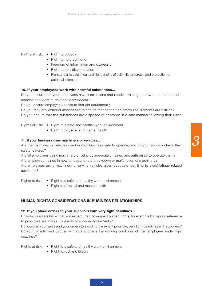Rights at risk: • Right to privacy

- Right to hold opinions
- Freedom of information and expression
- Right to non-discrimination
- Right to participate in cultural life, benefits of scientific progress, and protection of authorial interests

#### **10. If your employees work with harmful substances...**

Do you ensure that your employees have instructions and receive training on how to handle the substances and what to do if accidents occur?

Do you ensure employee access to first aid equipment?

Do you regularly conduct inspections to ensure that health and safety requirements are fulfilled? Do you ensure that the substances are disposed of or stored in a safe manner following their use?

Rights at risk: • Right to a safe and healthy work environment

 • Right to physical and mental health

#### **11. If your business uses machinery or vehicles...**

Are the machines or vehicles used in your business safe to operate, and do you regularly check their safety features?

Are all employees using machinery or vehicles adequately trained and authorised to operate them? Are employees trained in how to respond to a breakdown or malfunction of machinery?

Are employees using machinery or driving vehicles given adequate rest time to avoid fatigue related accidents?

Rights at risk:  $\bullet$  Right to a safe and healthy work environment

 • Right to physical and mental health

# **Human rights considerations in business relationships**

#### **12. If you place orders to your suppliers with very tight deadlines...**

Do your suppliers know that you expect them to respect human rights, for example by making reference to possible risks in your contracts or supplier agreements?

Do you plan your sales and your orders to avoid, to the extent possible, very tight deadlines with suppliers? Do you consider and discuss with your suppliers the working conditions of their employees under tight deadlines?

Rights at risk:  $\bullet$  Right to a safe and healthy work environment

 • Right to rest and leisure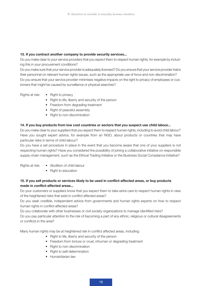#### **13. If you contract another company to provide security services...**

Do you make clear to your service providers that you expect them to respect human rights, for example by including this in your procurement conditions?

Do you make sure that your service provider is adequately licensed? Do you ensure that your service provider trains their personnel on relevant human rights issues, such as the appropriate use of force and non-discrimination? Do you ensure that your service provider minimises negative impacts on the right to privacy of employees or customers that might be caused by surveillance or physical searches?

Rights at risk: . • Right to privacy

- Right to life, liberty and security of the person
- Freedom from degrading treatment
- Right of peaceful assembly
- Right to non-discrimination

#### **14. If you buy products from low cost countries or sectors that you suspect use child labour...**

Do you make clear to your suppliers that you expect them to respect human rights, including to avoid child labour? Have you sought expert advice, for example from an NGO, about products or countries that may have particular risks in terms of child labour?

Do you have a set procedure in place in the event that you become aware that one of your suppliers is not respecting human rights? Have you considered the possibility of joining a collaborative initiative on responsible supply-chain management, such as the Ethical Trading Initiative or the Business Social Compliance Initiative?

- Rights at risk:  $\bullet$  Abolition of child labour
	- Right to education

# **15. If you sell products or services likely to be used in conflict-affected areas, or buy products made in conflict-affected areas...**

Do your customers or suppliers know that you expect them to take extra care to respect human rights in view of the heightened risks that exist in conflict-affected areas?

Do you seek credible, independent advice from governments and human rights experts on how to respect human rights in conflict-affected areas?

Do you collaborate with other businesses or civil society organizations to manage identified risks?

Do you pay particular attention to the risk of becoming a part of any ethnic, religious or cultural disagreements or conflicts in the area?

Many human rights may be at heightened risk in conflict affected areas, including:

- Right to life, liberty and security of the person
- Freedom from torture or cruel, inhuman or degrading treatment
- Right to non-discrimination
- Right to self-determination
- Humanitarian law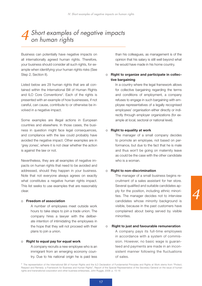# *Short examples of negative impacts on human rights 4*

Business can potentially have negative impacts on all internationally agreed human rights. Therefore, your business should consider all such rights, for example when identifying your human rights risks (See Step 2, Section II).

Listed below are 29 human rights that are all contained within the International Bill of Human Rights and ILO Core Conventions<sup>2</sup>. Each of the rights is presented with an example of how businesses, if not careful, can cause, contribute to or otherwise be involved in a negative impact.

Some examples are illegal actions in European countries and elsewhere. In those cases, the business in question might face legal consequences, and compliance with the law could probably have avoided the negative impact. Other examples are in 'grey zones', where it is not clear whether the action is against the law or not.

Nevertheless, they are all examples of negative impacts on human rights that need to be avoided and addressed, should they happen in your business. Note that not everyone always agrees on exactly what constitutes a negative human rights impact. This list seeks to use examples that are reasonably clear.

#### o **Freedom of association**

A number of employees meet outside work hours to take steps to join a trade union. The company hires a lawyer with the deliberate intention of intimidating the employees in the hope that they will not proceed with their plans to join a union.

#### o **Right to equal pay for equal work**

A company recruits a new employee who is an immigrant from an emerging economy country. Due to his national origin he is paid less

than his colleagues, as management is of the opinion that his salary is still well beyond what he would have made in his home country.

### o **Right to organize and participate in collective bargaining**

In a country where the legal framework allows for collective bargaining regarding the terms and conditions of employment, a company refuses to engage in such bargaining with employee representatives of a legally recognised employees' organisation either directly or indirectly through employer organizations (for example at local, sectoral or national level).

#### o **Right to equality at work**

The manager of a small company decides to promote an employee, not based on performance, but due to the fact that he is male and thus won't be going on maternity leave as could be the case with the other candidate who is a woman.

#### o **Right to non-discrimination**

The manager of a small business begins recruitment of a sales assistant for her store. Several qualified and suitable candidates apply for the position, including ethnic minorities. The manager decides not to interview candidates whose minority background is visible, because in the past customers have complained about being served by visible minorities.

### o **Right to just and favourable remuneration**

A company pays its full-time employees in accordance with a system of commission. However, no basic wage is guaranteed and payments are made in an inconsistent manner following the fluctuations of sales.

<sup>&</sup>lt;sup>2</sup> The representation of the International Bill of Human Rights and the ILO Declaration of Fundamental Principles and Rights at Work stems from "Protect, Respect and Remedy: a Framework for Business and Human Rights", Report of the Special Representative of the Secretary-General on the issue of human rights and transnational corporation and other business enterprises, John Ruggie, 2008: p. 15-16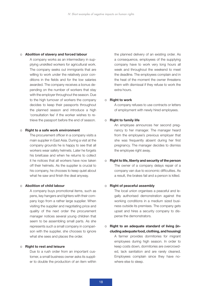#### o **Abolition of slavery and forced labour**

A company works as an intermediary in supplying unskilled workers for agricultural work. The company seeks out immigrants that are willing to work under the relatively poor conditions in the fields and for the low salaries awarded. The company receives a bonus depending on the number of workers that stay with the employer throughout the season. Due to the high turnover of workers the company decides to keep their passports throughout the planned season and introduce a high 'consultation fee' if the worker wishes to retrieve the passport before the end of season.

#### o **Right to a safe work environment**

The procurement officer in a company visits a main supplier in East Asia. During a visit at the company grounds he is happy to see that all workers wear safety helmets. Later he forgets his briefcase and when he returns to collect it he notices that all workers have now taken off their helmets. As the supplier is crucial to his company, he chooses to keep quiet about what he saw and finish the deal anyway.

#### o **Abolition of child labour**

A company buys promotional items, such as pens, key hangers and lighters with their company logo from a rather large supplier. When visiting the supplier and negotiating price and quality of the next order the procurement manager notices several young children that seem to be assembling small parts. As she represents such a small company in comparison with the supplier, she chooses to ignore what she sees and places the order.

#### o **Right to rest and leisure**

Due to a rush order from an important customer, a small business owner asks its supplier to double the production of an item within

the planned delivery of an existing order. As a consequence, employees of the supplying company have to work very long hours all week and throughout the weekend to meet the deadline. The employees complain and in the heat of the moment the owner threatens them with dismissal if they refuse to work the extra hours.

#### o **Right to work**

A company refuses to use contracts or letters of employment with newly hired employees.

#### o **Right to family life**

An employee announces her second pregnancy to her manager. The manager heard from the employee's previous employer that she was frequently absent during her first pregnancy. The manager decides to dismiss the employee right away.

# o **Right to life, liberty and security of the person**  The owner of a company delays repair of a company van due to economic difficulties. As a result, the brakes fail and a person is killed.

#### o **Right of peaceful assembly**

The local union organises a peaceful and legally authorised demonstration against the working conditions in a medium sized business outside its premises. The company gets upset and hires a security company to disperse the demonstrators.

#### o **Right to an adequate standard of living (including adequate food, clothing, and housing)**

A farmer provides dormitories for migrant employees during high season. In order to keep costs down, dormitories are overcrowded, lack sanitation and are rarely cleaned. Employees complain since they have nowhere else to sleep.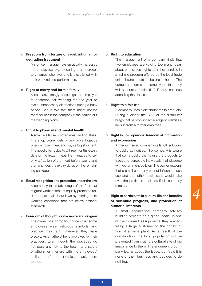# o **Freedom from torture or cruel, inhuman or degrading treatment**

An office manager systematically harasses her employees, e.g. by calling them derogatory names whenever she is dissatisfied with their work related performance.

#### o **Right to marry and form a family**

A company strongly encourages an employee to postpone her wedding for one year to avoid unnecessary distractions during a busy period. She is told that there might not be room for her in the company if she carries out the wedding plans.

#### o **Right to physical and mental health**

A small retailer sells frozen meat and poultries. The shop owner gets a very advantageous offer on frozen meat and buys a big shipment. The good offer is due to a three months expiry date of the frozen meat. He manages to sell only a fraction of the meat before expiry and then changes the expiry dates on the remaining packages.

#### o **Equal recognition and protection under the law**

A company takes advantage of the fact that migrant workers are not equally protected under the national labour laws by offering them working conditions that are below national standards.

#### o **Freedom of thought, conscience and religion**

The owner of a company notices that some employees wear religious symbols and practice their faith whenever they have breaks. As an atheist he is provoked by their practices. Even though the practices do not pose any risk to the health and safety of others, or interfere with the employees' ability to perform their duties, he asks them to stop.

#### o **Right to education**

The management of a company finds that two employees are voicing too many ideas about employees' rights after they enrolled in a training program offered by the local trade union branch outside business hours. The company informs the employees that they will encounter 'difficulties' if they continue attending the classes.

#### o **Right to a fair trial**

A company uses a distributor for its products. During a dinner the CEO of the distributor brags that he 'convinced' a judge to dismiss a lawsuit from a former employee.

# o **Right to hold opinions, freedom of information and expression**

A medium sized company sells ICT solutions to public authorities. The company is aware that some public clients use the products to track and persecute individuals that disagree with government policies. The owner reasons that a small company cannot influence such use and that other businesses would take over the profitable business if his company refrains.

# o **Right to participate in cultural life, the benefits of scientific progress, and protection of authorial interests**

A small engineering company advises building projects on a global scale. In one of their current assignments they are advising a large customer on the construction of a large plant. As a result of the construction, the local population will be prevented from visiting a cultural site of big importance to them. The engineering company learns about the issue, but feels it is none of their business and decides to do nothing.

19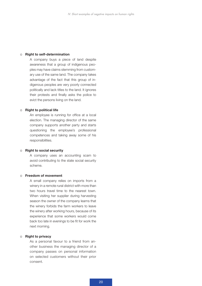#### o **Right to self-determination**

A company buys a piece of land despite awareness that a group of indigenous peoples may have claims stemming from customary use of the same land. The company takes advantage of the fact that this group of indigenous peoples are very poorly connected politically and lack titles to the land. It ignores their protests and finally asks the police to evict the persons living on the land.

#### o **Right to political life**

An employee is running for office at a local election. The managing director of the same company supports another party and starts questioning the employee's professional competences and taking away some of his responsibilities.

#### o **Right to social security**

A company uses an accounting scam to avoid contributing to the state social security scheme.

#### o **Freedom of movement**

A small company relies on imports from a winery in a remote rural district with more than two hours travel time to the nearest town. When visiting her supplier during harvesting season the owner of the company learns that the winery forbids the farm workers to leave the winery after working hours, because of its experience that some workers would come back too late in evenings to be fit for work the next morning.

#### o **Right to privacy**

As a personal favour to a friend from another business the managing director of a company passes on personal information on selected customers without their prior consent.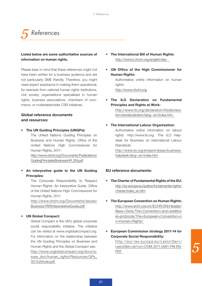

# **Listed below are some authoritative sources of information on human rights.**

Please bear in mind that these references might not have been written for a business audience and are not particularly SME friendly. Therefore, you might need expert assistance in making them operational, for example from national human rights institutions, civil society organisations specialised in human rights, business associations, chambers of commerce, or multistakeholder CSR initiatives.

# **Global reference documents and resources:**

- • **The UN Guiding Principles (UNGPs):** The United Nations Guiding Principles on Business and Human Rights, Office of the United Nations High Commissioner for Human Rights, 2011: http://www.ohchr.org/Documents/Publications/ GuidingPrinciplesBusinessHR\_EN.pdf
- • **An interpretive guide to the UN Guiding Principles:**

The Corporate Responsibility to Respect Human Rights: An Interpretive Guide, Office of the United Nations High Commissioner for Human Rights, 2011:

http://www.ohchr.org/Documents/Issues/ Business/RtRInterpretativeGuide.pdf

# • **UN Global Compact:**

Global Compact is the UN's global corporate social responsibility initiative. The initiative can be visited at www.unglobalcompact.org. For information on the relationship between the UN Guiding Principles on Business and Human Rights and the Global Compact see: http://www.unglobalcompact.org/docs/issues\_doc/human\_rights/Resources/GPs GC%20note.pdf

- **The International Bill of Human Rights:** http://www2.ohchr.org/english/law
- • **UN Office of the High Commissioner for Human Rights:** Authoritative online information on human

rights: http://www.ohchr.org

• **The ILO Declaration on Fundamental Principles and Rights at Work:**

> http://www.ilo.org/declaration/thedeclaration/textdeclaration/lang--en/index.htm

• **The International Labour Organisation:** Authoritative online information on labour

rights: http://www.ilo.org. The ILO helpdesk for Business on International Labour Standards:

http://www.ilo.org/empent/areas/businesshelpdesk/lang--en/index.htm

# **EU reference documents:**

- • **The Charter of Fundamental Rights of the EU:** http://ec.europa.eu/justice/fundamental-rights/ charter/index\_en.htm
- • **The European Convention on Human Rights:** http://www.echr.coe.int/ECHR/EN/Header/ Basic+Texts/The+Convention+and+addition al+protocols/The+European+Convention+o n+Human+Rights/
- • **European Commission strategy 2011-14 for Corporate Social Responsibility:** http://eur-lex.europa.eu/LexUriServ/ LexUriServ.do?uri=COM:2011:0681:FIN:EN: PDF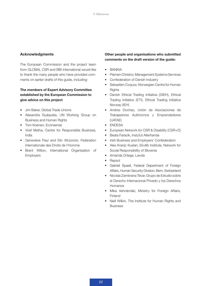# **Acknowledgments**

The European Commission and the project team from GLOBAL CSR and BBI International would like to thank the many people who have provided comments on earlier drafts of this guide, including:

# **The members of Expert Advisory Committee established by the European Commission to give advice on this project**

- • Jim Baker, Global Trade Unions
- • Alexandra Guáqueta, UN Working Group on Business and Human Rights
- Tom Koenen, Econsense
- • Viraf Metha, Centre for Responsible Business, India
- Geneviève Paul and Elin Wrzoncki, Fédération Internationale des Droits de l'Homme
- • Brent Wilton, International Organisation of **Employers**

# **Other people and organisations who submitted comments on the draft version of the guide:**

- • BANKIA
- • Plamen Christov, Management Systems Services
- Confederation of Danish Industry
- Sebastien Coquoz, Norwegian Centre for Human **Rights**
- Danish Ethical Trading Initiative (DIEH), Ethical Trading Initiative (ETI), Ethical Trading Initiative Norway (IEH)
- • Andres Dochao, Unión de Asociaciones de Trabajadores Autónomos y Emprendedores (UATAE)
- • ENDESA
- European Network for CSR & Disability (CSR+D)
- • Beata Faracik, Instytut Allerhanda
- Irish Business and Employers' Confederation
- • Ales Kranjc Kuslan, Ekvilib Institute, Network for Social Responsibility of Slovenia
- Amanda Ortega, Lavola
- Repsol
- • Gabriel Spaeti, Federal Department of Foreign Affairs, Human Security Division, Bern, Switzerland
- • Nicolas Zambrana Tévar, Grupo de Estudio sobre el Derecho Internacional Privado y los Derechos Humanos
- • Mika Vehnämäki, Ministry for Foreign Affairs, Finland
- Neill Wilkin, The Institute for Human Rights and Business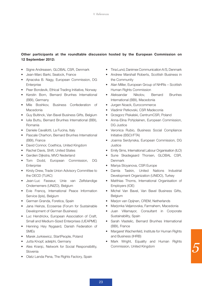# **Other participants at the roundtable discussion hosted by the European Commission on 12 September 2012:**

- Signe Andreasen, GLOBAL CSR, Denmark
- • Jean-Marc Barki, Sealock, France
- • Ajnacska B. Nagy, European Commission, DG **Enterprise**
- Peer Bondevik, Ethical Trading Initiative, Norway
- • Kerstin Born, Bernard Brunhes International (BBI), Germany
- Mile Boshkov, Business Confederation of Macedonia
- Guy Bultinck, Van Bavel Business Gifts, Belgium
- Iulia Buttu, Bernard Brunhes International (BBI), Romania
- • Daniele Cavallotti, La Fucina, Italy
- Pascale Charhon, Bernard Brunhes International (BBI), France
- David Connor, Coethica, United Kingdom
- Rachel Davis, Shift, United States
- Gerdien Diikstra, MVO Nederland
- Tom Dodd, European Commission, DG **Enterprise**
- Kirsty Drew, Trade Union Advisory Committee to the OECD (TUAC)
- • Jean-Luc Fasseur, Unie van Zelfstandige Ondernemers (UNIZO), Belgium
- • Evie Francq, International Peace Information Service (Ipis), Belgium
- German Granda, Foretica, Spain
- Jana Heinze, Ecosense (Forum for Sustainable Development of German Business)
- Luc Hendrickx, European Association of Craft, Small and Medium-Sized Enterprises (UEAPME)
- • Henning Høy Nygaard, Danish Federation of SMEs
- Marek Jurkiewicz, StartPeople, Poland
- • Jutta Knopf, adelphi, Germany
- Ales Kranjc, Network for Social Responsibility, Slovenia
- Olatz Landa Pena, The Rights Factory, Spain
- Tina Lund, Danimex Communication A/S, Denmark
- • Andrew Marshall Roberts, Scottish Business in the Community
- Alan Miller, European Group of NHRIs Scottish Human Rights Commission
- • Aleksandar Nikolov, Bernard Brunhes International (BBI), Macedonia
- • Jurgen Noack, Eurocommerce
- • Vladimir Petkovski, CSR Madeconia
- • Grzegorz Piskalski, CentrumCSR, Poland
- • Anna-Elina Pohjolainen, European Commission, DG Justice
- • Veronica Rubio, Business Social Compliance Initiative (BSCI/FTA)
- • Joanna Serdynska, European Commission, DG **Justice**
- Emily Sims, International Labour Organisation (ILO)
- Sune Skadegaard Thorsen, GLOBAL CSR, Denmark
- Mariya Stoyanova, CSR Europe
- Damla Taskin, United Nations Industrial Development Organization (UNIDO), Turkey
- Matthias Thorns, International Organisation of Employers (IOE)
- • Michel Van Bavel, Van Bavel Business Gifts, Belgium
- Marjon van Opijnen, CREM, Netherlands
- • Marjonka Veljanovska, Farmahem, Macedonia
- • Juan Villamayor, Consultant in Corporate Sustainability, Spain
- Sarah Vlastelic, Bernard Brunhes International (BBI), France
- Margaret Wachenfeld, Institute for Human Rights and Business (IHRB)
- Mark Wright, Equality and Human Rights Commission, United Kingdom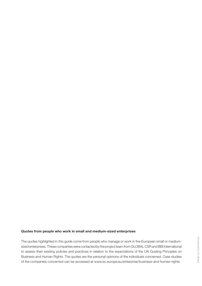#### **Quotes from people who work in small and medium-sized enterprises**

The quotes highlighted in this guide come from people who manage or work in five European small or mediumsized enterprises. These companies were contacted by the project team from GLOBAL CSR and BBI International to assess their existing policies and practices in relation to the expectations of the UN Guiding Principles on Business and Human Rights. The quotes are the personal opinions of the individuals concerned. Case studies of the companies concerned can be accessed at www.ec.europa.eu/enterprise/business-and-human-rights.